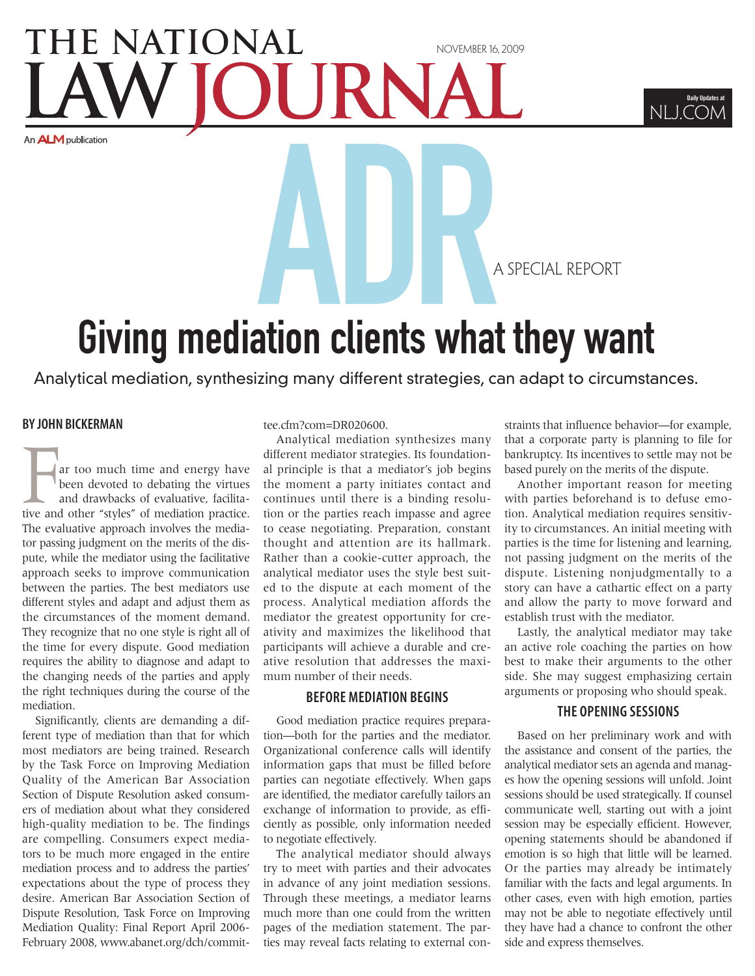## HE NATIONAL november 16, 2009 An **ALM** publication



A special report

# Giving mediation clients what they want

Analytical mediation, synthesizing many different strategies, can adapt to circumstances.

## **BY john Bickerman**

ar too much time and energy have been devoted to debating the virtues and drawbacks of evaluative, facilitative and other "styles" of mediation practice. The evaluative approach involves the mediator passing judgment on the merits of the dispute, while the mediator using the facilitative approach seeks to improve communication between the parties. The best mediators use different styles and adapt and adjust them as the circumstances of the moment demand. They recognize that no one style is right all of the time for every dispute. Good mediation requires the ability to diagnose and adapt to the changing needs of the parties and apply the right techniques during the course of the mediation.

Significantly, clients are demanding a different type of mediation than that for which most mediators are being trained. Research by the Task Force on Improving Mediation Quality of the American Bar Association Section of Dispute Resolution asked consumers of mediation about what they considered high-quality mediation to be. The findings are compelling. Consumers expect mediators to be much more engaged in the entire mediation process and to address the parties' expectations about the type of process they desire. American Bar Association Section of Dispute Resolution, Task Force on Improving Mediation Quality: Final Report April 2006- February 2008, www.abanet.org/dch/commit-

#### tee.cfm?com=DR020600.

Analytical mediation synthesizes many different mediator strategies. Its foundational principle is that a mediator's job begins the moment a party initiates contact and continues until there is a binding resolution or the parties reach impasse and agree to cease negotiating. Preparation, constant thought and attention are its hallmark. Rather than a cookie-cutter approach, the analytical mediator uses the style best suited to the dispute at each moment of the process. Analytical mediation affords the mediator the greatest opportunity for creativity and maximizes the likelihood that participants will achieve a durable and creative resolution that addresses the maximum number of their needs.

## **before mediation begins**

Good mediation practice requires preparation—both for the parties and the mediator. Organizational conference calls will identify information gaps that must be filled before parties can negotiate effectively. When gaps are identified, the mediator carefully tailors an exchange of information to provide, as efficiently as possible, only information needed to negotiate effectively.

The analytical mediator should always try to meet with parties and their advocates in advance of any joint mediation sessions. Through these meetings, a mediator learns much more than one could from the written pages of the mediation statement. The parties may reveal facts relating to external constraints that influence behavior—for example, that a corporate party is planning to file for bankruptcy. Its incentives to settle may not be based purely on the merits of the dispute.

Another important reason for meeting with parties beforehand is to defuse emotion. Analytical mediation requires sensitivity to circumstances. An initial meeting with parties is the time for listening and learning, not passing judgment on the merits of the dispute. Listening nonjudgmentally to a story can have a cathartic effect on a party and allow the party to move forward and establish trust with the mediator.

Lastly, the analytical mediator may take an active role coaching the parties on how best to make their arguments to the other side. She may suggest emphasizing certain arguments or proposing who should speak.

### **the opening sessions**

Based on her preliminary work and with the assistance and consent of the parties, the analytical mediator sets an agenda and manages how the opening sessions will unfold. Joint sessions should be used strategically. If counsel communicate well, starting out with a joint session may be especially efficient. However, opening statements should be abandoned if emotion is so high that little will be learned. Or the parties may already be intimately familiar with the facts and legal arguments. In other cases, even with high emotion, parties may not be able to negotiate effectively until they have had a chance to confront the other side and express themselves.